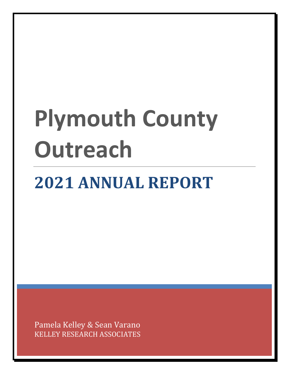# **Plymouth County Outreach**

# **2021 ANNUAL REPORT**

Pamela Kelley & Sean Varano KELLEY RESEARCH ASSOCIATES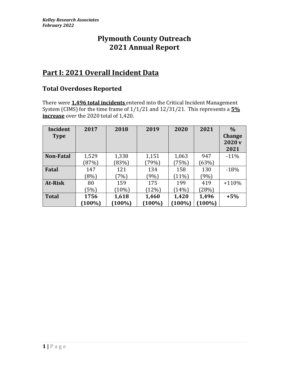# **Plymouth County Outreach 2021 Annual Report**

# **Part I: 2021 Overall Incident Data**

#### **Total Overdoses Reported**

There were **1,496 total incidents** entered into the Critical Incident Management System (CIMS) for the time frame of 1/1/21 and 12/31/21. This represents a **5% increase** over the 2020 total of 1,420.

| Incident<br><b>Type</b> | 2017              | 2018               | 2019               | 2020               | 2021               | $\frac{0}{0}$<br><b>Change</b><br>2020 <sub>v</sub><br>2021 |
|-------------------------|-------------------|--------------------|--------------------|--------------------|--------------------|-------------------------------------------------------------|
| <b>Non-Fatal</b>        | 1,529             | 1,338              | 1,151              | 1,063              | 947                | $-11%$                                                      |
|                         | (87%)             | (83%)              | (79%)              | (75%)              | (63%)              |                                                             |
| Fatal                   | 147               | 121                | 134                | 158                | 130                | $-18%$                                                      |
|                         | (8%)              | (7%)               | (9%)               | (11%)              | (9%)               |                                                             |
| At-Risk                 | 80                | 159                | 175                | 199                | 419                | $+110%$                                                     |
|                         | (5%)              | (10%)              | (12%)              | (14%)              | (28%)              |                                                             |
| <b>Total</b>            | 1756<br>$(100\%)$ | 1,618<br>$(100\%)$ | 1,460<br>$(100\%)$ | 1,420<br>$(100\%)$ | 1,496<br>$(100\%)$ | $+5%$                                                       |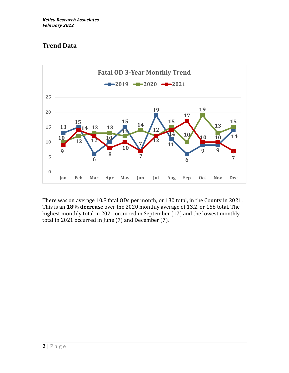# **Trend Data**



There was on average 10.8 fatal ODs per month, or 130 total, in the County in 2021. This is an **18% decrease** over the 2020 monthly average of 13.2, or 158 total. The highest monthly total in 2021 occurred in September (17) and the lowest monthly total in 2021 occurred in June (7) and December (7).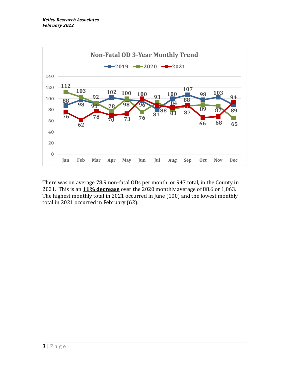

There was on average 78.9 non-fatal ODs per month, or 947 total, in the County in 2021. This is an **11% decrease** over the 2020 monthly average of 88.6 or 1,063. The highest monthly total in 2021 occurred in June (100) and the lowest monthly total in 2021 occurred in February (62).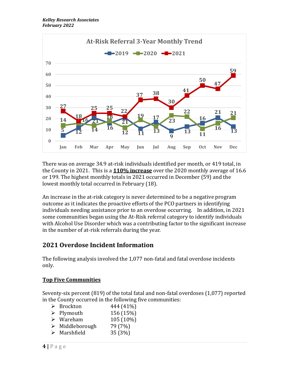

There was on average 34.9 at-risk individuals identified per month, or 419 total, in the County in 2021. This is a **110% increase** over the 2020 monthly average of 16.6 or 199. The highest monthly totals in 2021 occurred in December (59) and the lowest monthly total occurred in February (18).

An increase in the at-risk category is never determined to be a negative program outcome as it indicates the proactive efforts of the PCO partners in identifying individuals needing assistance prior to an overdose occurring. In addition, in 2021 some communities began using the At-Risk referral category to identify individuals with Alcohol Use Disorder which was a contributing factor to the significant increase in the number of at-risk referrals during the year.

#### **Overdose Incident Information**

The following analysis involved the 1,077 non-fatal and fatal overdose incidents only.

#### **Top Five Communities**

Seventy-six percent (819) of the total fatal and non-fatal overdoses (1,077) reported in the County occurred in the following five communities:

|   | $\triangleright$ Brockton | 444 (41%) |
|---|---------------------------|-----------|
|   | $\triangleright$ Plymouth | 156 (15%) |
|   | $\triangleright$ Wareham  | 105 (10%) |
| ➤ | Middleborough             | 79 (7%)   |
| ➤ | Marshfield                | 35 (3%)   |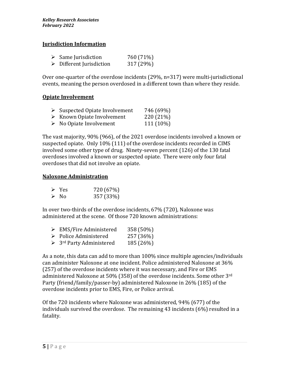#### **Jurisdiction Information**

|   | $\triangleright$ Same Jurisdiction | 760 (71%) |
|---|------------------------------------|-----------|
| ≻ | Different Jurisdiction             | 317 (29%) |

Over one-quarter of the overdose incidents (29%, n=317) were multi-jurisdictional events, meaning the person overdosed in a different town than where they reside.

#### **Opiate Involvement**

| ➤ | Suspected Opiate Involvement | 746 (69%) |
|---|------------------------------|-----------|
|   |                              |           |

- ➢ Known Opiate Involvement 220 (21%)
- $\triangleright$  No Opiate Involvement 111 (10%)

The vast majority, 90% (966), of the 2021 overdose incidents involved a known or suspected opiate. Only 10% (111) of the overdose incidents recorded in CIMS involved some other type of drug. Ninety-seven percent (126) of the 130 fatal overdoses involved a known or suspected opiate. There were only four fatal overdoses that did not involve an opiate.

#### **Naloxone Administration**

| $\triangleright$ Yes | 720 (67%) |
|----------------------|-----------|
| $\triangleright$ No  | 357 (33%) |

In over two-thirds of the overdose incidents, 67% (720), Naloxone was administered at the scene. Of those 720 known administrations:

- ➢ EMS/Fire Administered 358 (50%)
- ➢ Police Administered 257 (36%)
- $\geq$  3<sup>rd</sup> Party Administered 185 (26%)

As a note, this data can add to more than 100% since multiple agencies/individuals can administer Naloxone at one incident. Police administered Naloxone at 36% (257) of the overdose incidents where it was necessary, and Fire or EMS administered Naloxone at 50% (358) of the overdose incidents. Some other 3<sup>rd</sup> Party (friend/family/passer-by) administered Naloxone in 26% (185) of the overdose incidents prior to EMS, Fire, or Police arrival.

Of the 720 incidents where Naloxone was administered, 94% (677) of the individuals survived the overdose. The remaining 43 incidents (6%) resulted in a fatality.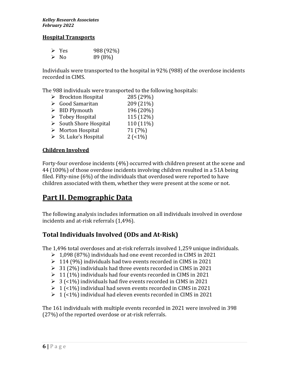#### **Hospital Transports**

| $\triangleright$ Yes | 988 (92%) |
|----------------------|-----------|
| $\triangleright$ No  | 89 (8%)   |

Individuals were transported to the hospital in 92% (988) of the overdose incidents recorded in CIMS.

The 988 individuals were transported to the following hospitals:

- $\triangleright$  Brockton Hospital 285 (29%)
- $\blacktriangleright$  Good Samaritan 209 (21%)  $\blacktriangleright$  BID Plymouth 196 (20%)
- $\triangleright$  Tobey Hospital 115 (12%)
- $\triangleright$  South Shore Hospital 110 (11%)
- $\triangleright$  Morton Hospital 71 (7%)
- 
- $\triangleright$  St. Luke's Hospital 2 (<1%)

#### **Children Involved**

Forty-four overdose incidents (4%) occurred with children present at the scene and 44 (100%) of those overdose incidents involving children resulted in a 51A being filed. Fifty-nine (6%) of the individuals that overdosed were reported to have children associated with them, whether they were present at the scene or not.

# **Part II. Demographic Data**

The following analysis includes information on all individuals involved in overdose incidents and at-risk referrals (1,496).

#### **Total Individuals Involved (ODs and At-Risk)**

The 1,496 total overdoses and at-risk referrals involved 1,259 unique individuals.

- $\geq 1,098$  (87%) individuals had one event recorded in CIMS in 2021
- ➢ 114 (9%) individuals had two events recorded in CIMS in 2021
- $\geq$  31 (2%) individuals had three events recorded in CIMS in 2021
- $\geq 11$  (1%) individuals had four events recorded in CIMS in 2021
- $\geq 3$  (<1%) individuals had five events recorded in CIMS in 2021
- $\geq 1$  (<1%) individual had seven events recorded in CIMS in 2021
- $\geq 1$  (<1%) individual had eleven events recorded in CIMS in 2021

The 161 individuals with multiple events recorded in 2021 were involved in 398 (27%) of the reported overdose or at-risk referrals.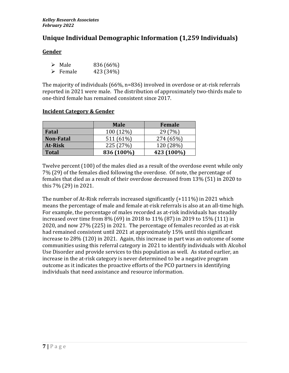## **Unique Individual Demographic Information (1,259 Individuals)**

#### **Gender**

| $\triangleright$ Male   | 836 (66%) |
|-------------------------|-----------|
| $\triangleright$ Female | 423 (34%) |

The majority of individuals (66%, n=836) involved in overdose or at-risk referrals reported in 2021 were male. The distribution of approximately two-thirds male to one-third female has remained consistent since 2017.

|                  | <b>Male</b> | <b>Female</b> |
|------------------|-------------|---------------|
| Fatal            | 100 (12%)   | 29(7%)        |
| <b>Non-Fatal</b> | 511 (61%)   | 274 (65%)     |
| <b>At-Risk</b>   | 225 (27%)   | 120 (28%)     |
| <b>Total</b>     | 836 (100%)  | 423 (100%)    |

#### **Incident Category & Gender**

Twelve percent (100) of the males died as a result of the overdose event while only 7% (29) of the females died following the overdose. Of note, the percentage of females that died as a result of their overdose decreased from 13% (51) in 2020 to this 7% (29) in 2021.

The number of At-Risk referrals increased significantly (+111%) in 2021 which means the percentage of male and female at-risk referrals is also at an all-time high. For example, the percentage of males recorded as at-risk individuals has steadily increased over time from 8% (69) in 2018 to 11% (87) in 2019 to 15% (111) in 2020, and now 27% (225) in 2021. The percentage of females recorded as at-risk had remained consistent until 2021 at approximately 15% until this significant increase to 28% (120) in 2021. Again, this increase in part was an outcome of some communities using this referral category in 2021 to identify individuals with Alcohol Use Disorder and provide services to this population as well. As stated earlier, an increase in the at-risk category is never determined to be a negative program outcome as it indicates the proactive efforts of the PCO partners in identifying individuals that need assistance and resource information.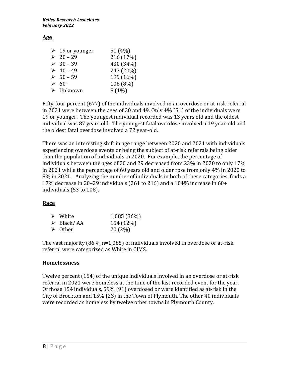#### **Age**

| $\triangleright$ 19 or younger | 51 (4%)   |
|--------------------------------|-----------|
| $20 - 29$                      | 216 (17%) |
| $> 30 - 39$                    | 430 (34%) |
| $\geq 40 - 49$                 | 247 (20%) |
| $> 50 - 59$                    | 199 (16%) |
| $\geq 60+$                     | 108 (8%)  |
| $\triangleright$ Unknown       | 8(1%)     |

Fifty-four percent (677) of the individuals involved in an overdose or at-risk referral in 2021 were between the ages of 30 and 49. Only 4% (51) of the individuals were 19 or younger. The youngest individual recorded was 13 years old and the oldest individual was 87 years old. The youngest fatal overdose involved a 19 year-old and the oldest fatal overdose involved a 72 year-old.

There was an interesting shift in age range between 2020 and 2021 with individuals experiencing overdose events or being the subject of at-risk referrals being older than the population of individuals in 2020. For example, the percentage of individuals between the ages of 20 and 29 decreased from 23% in 2020 to only 17% in 2021 while the percentage of 60 years old and older rose from only 4% in 2020 to 8% in 2021. Analyzing the number of individuals in both of these categories, finds a 17% decrease in 20–29 individuals (261 to 216) and a 104% increase in 60+ individuals (53 to 108).

#### **Race**

| $\triangleright$ White    | 1,085 (86%) |
|---------------------------|-------------|
| $\triangleright$ Black/AA | 154 (12%)   |
| $\triangleright$ Other    | 20(2%)      |

The vast majority (86%, n=1,085) of individuals involved in overdose or at-risk referral were categorized as White in CIMS.

#### **Homelessness**

Twelve percent (154) of the unique individuals involved in an overdose or at-risk referral in 2021 were homeless at the time of the last recorded event for the year. Of those 154 individuals, 59% (91) overdosed or were identified as at-risk in the City of Brockton and 15% (23) in the Town of Plymouth. The other 40 individuals were recorded as homeless by twelve other towns in Plymouth County.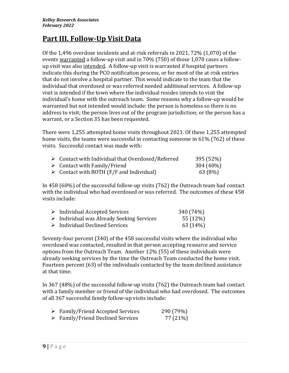# **Part III. Follow-Up Visit Data**

Of the 1,496 overdose incidents and at-risk referrals in 2021, 72% (1,070) of the events warranted a follow-up visit and in 70% (750) of those 1,070 cases a followup visit was also intended. A follow-up visit is warranted if hospital partners indicate this during the PCO notification process, or for most of the at-risk entries that do not involve a hospital partner. This would indicate to the team that the individual that overdosed or was referred needed additional services. A follow-up visit is intended if the town where the individual resides intends to visit the individual's home with the outreach team. Some reasons why a follow-up would be warranted but not intended would include: the person is homeless so there is no address to visit; the person lives out of the program jurisdiction; or the person has a warrant, or a Section 35 has been requested.

There were 1,255 attempted home visits throughout 2021. Of these 1,255 attempted home visits, the teams were successful in contacting someone in 61% (762) of these visits. Successful contact was made with:

| $\triangleright$ Contact with Individual that Overdosed/Referred | 395 (52%) |
|------------------------------------------------------------------|-----------|
| $\triangleright$ Contact with Family/Friend                      | 304 (40%) |
| $\triangleright$ Contact with BOTH (F/F and Individual)          | 63 (8%)   |

In 458 (60%) of the successful follow-up visits (762) the Outreach team had contact with the individual who had overdosed or was referred. The outcomes of these 458 visits include:

| $\triangleright$ Individual Accepted Services            | 340 (74%) |
|----------------------------------------------------------|-----------|
| $\triangleright$ Individual was Already Seeking Services | 55 (12%)  |
| $\triangleright$ Individual Declined Services            | 63 (14%)  |

Seventy-four percent (340) of the 458 successful visits where the individual who overdosed was contacted, resulted in that person accepting resource and service options from the Outreach Team. Another 12% (55) of these individuals were already seeking services by the time the Outreach Team conducted the home visit. Fourteen percent (63) of the individuals contacted by the team declined assistance at that time.

In 367 (48%) of the successful follow-up visits (762) the Outreach team had contact with a family member or friend of the individual who had overdosed. The outcomes of all 367 successful family follow-up visits include:

| $\triangleright$ Family/Friend Accepted Services | 290 (79%) |
|--------------------------------------------------|-----------|
| $\triangleright$ Family/Friend Declined Services | 77 (21%)  |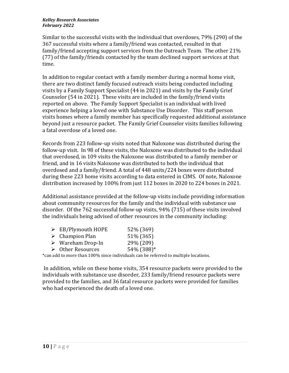Similar to the successful visits with the individual that overdoses, 79% (290) of the 367 successful visits where a family/friend was contacted, resulted in that family/friend accepting support services from the Outreach Team. The other 21% (77) of the family/friends contacted by the team declined support services at that time.

In addition to regular contact with a family member during a normal home visit, there are two distinct family focused outreach visits being conducted including visits by a Family Support Specialist (44 in 2021) and visits by the Family Grief Counselor (54 in 2021). These visits are included in the family/friend visits reported on above. The Family Support Specialist is an individual with lived experience helping a loved one with Substance Use Disorder. This staff person visits homes where a family member has specifically requested additional assistance beyond just a resource packet. The Family Grief Counselor visits families following a fatal overdose of a loved one.

Records from 223 follow-up visits noted that Naloxone was distributed during the follow-up visit. In 98 of these visits, the Naloxone was distributed to the individual that overdosed, in 109 visits the Naloxone was distributed to a family member or friend, and in 16 visits Naloxone was distributed to both the individual that overdosed and a family/friend. A total of 448 units/224 boxes were distributed during these 223 home visits according to data entered in CIMS. Of note, Naloxone distribution increased by 100% from just 112 boxes in 2020 to 224 boxes in 2021.

Additional assistance provided at the follow-up visits include providing information about community resources for the family and the individual with substance use disorder. Of the 762 successful follow-up visits, 94% (715) of these visits involved the individuals being advised of other resources in the community including:

| $\triangleright$ EB/Plymouth HOPE | 52% (369)  |
|-----------------------------------|------------|
| $\triangleright$ Champion Plan    | 51% (365)  |
| $\triangleright$ Wareham Drop-In  | 29% (209)  |
| $\triangleright$ Other Resources  | 54% (388)* |

\*can add to more than 100% since individuals can be referred to multiple locations.

In addition, while on these home visits, 354 resource packets were provided to the individuals with substance use disorder, 233 family/friend resource packets were provided to the families, and 36 fatal resource packets were provided for families who had experienced the death of a loved one.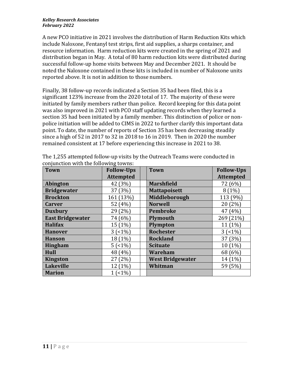A new PCO initiative in 2021 involves the distribution of Harm Reduction Kits which include Naloxone, Fentanyl test strips, first aid supplies, a sharps container, and resource information. Harm reduction kits were created in the spring of 2021 and distribution began in May. A total of 80 harm reduction kits were distributed during successful follow-up home visits between May and December 2021. It should be noted the Naloxone contained in these kits is included in number of Naloxone units reported above. It is not in addition to those numbers.

Finally, 38 follow-up records indicated a Section 35 had been filed, this is a significant 123% increase from the 2020 total of 17. The majority of these were initiated by family members rather than police. Record keeping for this data point was also improved in 2021 with PCO staff updating records when they learned a section 35 had been initiated by a family member. This distinction of police or nonpolice initiation will be added to CIMS in 2022 to further clarify this important data point. To date, the number of reports of Section 35 has been decreasing steadily since a high of 52 in 2017 to 32 in 2018 to 16 in 2019. Then in 2020 the number remained consistent at 17 before experiencing this increase in 2021 to 38.

| <b>Town</b>             | <b>Follow-Ups</b> | <b>Town</b>             | <b>Follow-Ups</b> |
|-------------------------|-------------------|-------------------------|-------------------|
|                         | <b>Attempted</b>  |                         | <b>Attempted</b>  |
| Abington                | 42 (3%)           | <b>Marshfield</b>       | 72 (6%)           |
| <b>Bridgewater</b>      | 37 (3%)           | <b>Mattapoisett</b>     | $8(1\%)$          |
| <b>Brockton</b>         | 161 (13%)         | Middleborough           | 113 (9%)          |
| <b>Carver</b>           | 52 (4%)           | <b>Norwell</b>          | 20 (2%)           |
| <b>Duxbury</b>          | 29 (2%)           | <b>Pembroke</b>         | 47 (4%)           |
| <b>East Bridgewater</b> | 74 (6%)           | <b>Plymouth</b>         | 269 (21%)         |
| <b>Halifax</b>          | 15 (1%)           | Plympton                | 11 (1%)           |
| <b>Hanover</b>          | 3(51%)            | <b>Rochester</b>        | 3(51%)            |
| <b>Hanson</b>           | 18 (1%)           | <b>Rockland</b>         | 37 (3%)           |
| <b>Hingham</b>          | 5(1%)             | <b>Scituate</b>         | 10 (1%)           |
| Hull                    | 48 (4%)           | Wareham                 | 68 (6%)           |
| <b>Kingston</b>         | 27 (2%)           | <b>West Bridgewater</b> | 14 (1%)           |
| <b>Lakeville</b>        | 12 (1%)           | Whitman                 | 59 (5%)           |
| <b>Marion</b>           | 1(51%)            |                         |                   |

| The 1,255 attempted follow-up visits by the Outreach Teams were conducted in |  |
|------------------------------------------------------------------------------|--|
| conjunction with the following towns:                                        |  |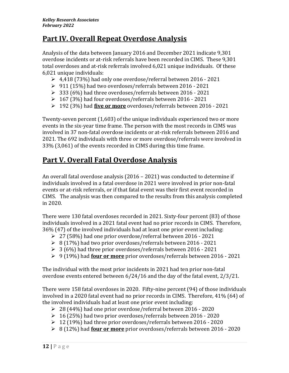# **Part IV. Overall Repeat Overdose Analysis**

Analysis of the data between January 2016 and December 2021 indicate 9,301 overdose incidents or at-risk referrals have been recorded in CIMS. These 9,301 total overdoses and at-risk referrals involved 6,021 unique individuals. Of these 6,021 unique individuals:

- ➢ 4,418 (73%) had only one overdose/referral between 2016 2021
- ➢ 911 (15%) had two overdoses/referrals between 2016 2021
- ➢ 333 (6%) had three overdoses/referrals between 2016 2021
- ➢ 167 (3%) had four overdoses/referrals between 2016 2021
- ➢ 192 (3%) had **five or more** overdoses/referrals between 2016 2021

Twenty-seven percent (1,603) of the unique individuals experienced two or more events in the six-year time frame. The person with the most records in CIMS was involved in 37 non-fatal overdose incidents or at-risk referrals between 2016 and 2021. The 692 individuals with three or more overdose/referrals were involved in 33% (3,061) of the events recorded in CIMS during this time frame.

# **Part V. Overall Fatal Overdose Analysis**

An overall fatal overdose analysis (2016 – 2021) was conducted to determine if individuals involved in a fatal overdose in 2021 were involved in prior non-fatal events or at-risk referrals, or if that fatal event was their first event recorded in CIMS. The analysis was then compared to the results from this analysis completed in 2020.

There were 130 fatal overdoses recorded in 2021. Sixty-four percent (83) of those individuals involved in a 2021 fatal event had no prior records in CIMS. Therefore, 36% (47) of the involved individuals had at least one prior event including:

- ➢ 27 (58%) had one prior overdose/referral between 2016 2021
- ➢ 8 (17%) had two prior overdoses/referrals between 2016 2021
- ➢ 3 (6%) had three prior overdoses/referrals between 2016 2021
- ➢ 9 (19%) had **four or more** prior overdoses/referrals between 2016 2021

The individual with the most prior incidents in 2021 had ten prior non-fatal overdose events entered between 6/24/16 and the day of the fatal event, 2/3/21.

There were 158 fatal overdoses in 2020. Fifty-nine percent (94) of those individuals involved in a 2020 fatal event had no prior records in CIMS. Therefore, 41% (64) of the involved individuals had at least one prior event including:

- ➢ 28 (44%) had one prior overdose/referral between 2016 2020
- ➢ 16 (25%) had two prior overdoses/referrals between 2016 2020
- ➢ 12 (19%) had three prior overdoses/referrals between 2016 2020
- ➢ 8 (12%) had **four or more** prior overdoses/referrals between 2016 2020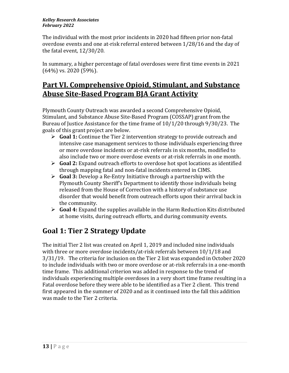The individual with the most prior incidents in 2020 had fifteen prior non-fatal overdose events and one at-risk referral entered between 1/28/16 and the day of the fatal event, 12/30/20.

In summary, a higher percentage of fatal overdoses were first time events in 2021 (64%) vs. 2020 (59%).

# **Part VI. Comprehensive Opioid, Stimulant, and Substance Abuse Site-Based Program BJA Grant Activity**

Plymouth County Outreach was awarded a second Comprehensive Opioid, Stimulant, and Substance Abuse Site-Based Program (COSSAP) grant from the Bureau of Justice Assistance for the time frame of 10/1/20 through 9/30/23. The goals of this grant project are below.

- ➢ **Goal 1:** Continue the Tier 2 intervention strategy to provide outreach and intensive case management services to those individuals experiencing three or more overdose incidents or at-risk referrals in six months, modified to also include two or more overdose events or at-risk referrals in one month.
- ➢ **Goal 2:** Expand outreach efforts to overdose hot spot locations as identified through mapping fatal and non-fatal incidents entered in CIMS.
- ➢ **Goal 3:** Develop a Re-Entry Initiative through a partnership with the Plymouth County Sheriff's Department to identify those individuals being released from the House of Correction with a history of substance use disorder that would benefit from outreach efforts upon their arrival back in the community.
- ➢ **Goal 4:** Expand the supplies available in the Harm Reduction Kits distributed at home visits, during outreach efforts, and during community events.

# **Goal 1: Tier 2 Strategy Update**

The initial Tier 2 list was created on April 1, 2019 and included nine individuals with three or more overdose incidents/at-risk referrals between 10/1/18 and 3/31/19. The criteria for inclusion on the Tier 2 list was expanded in October 2020 to include individuals with two or more overdose or at-risk referrals in a one-month time frame. This additional criterion was added in response to the trend of individuals experiencing multiple overdoses in a very short time frame resulting in a Fatal overdose before they were able to be identified as a Tier 2 client. This trend first appeared in the summer of 2020 and as it continued into the fall this addition was made to the Tier 2 criteria.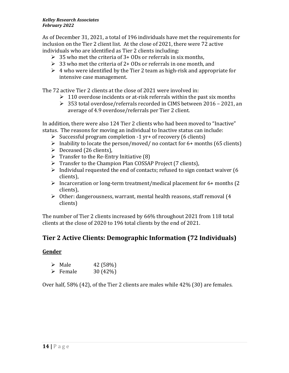As of December 31, 2021, a total of 196 individuals have met the requirements for inclusion on the Tier 2 client list. At the close of 2021, there were 72 active individuals who are identified as Tier 2 clients including:

- $\geq 35$  who met the criteria of 3+ ODs or referrals in six months,
- $\geq 33$  who met the criteria of 2+ ODs or referrals in one month, and
- $\geq 4$  who were identified by the Tier 2 team as high-risk and appropriate for intensive case management.

The 72 active Tier 2 clients at the close of 2021 were involved in:

- $\geq 110$  overdose incidents or at-risk referrals within the past six months
- ➢ 353 total overdose/referrals recorded in CIMS between 2016 2021, an average of 4.9 overdose/referrals per Tier 2 client.

In addition, there were also 124 Tier 2 clients who had been moved to "Inactive" status. The reasons for moving an individual to Inactive status can include:

- $\triangleright$  Successful program completion -1 yr+ of recovery (6 clients)
- $\triangleright$  Inability to locate the person/moved/ no contact for 6+ months (65 clients)
- $\triangleright$  Deceased (26 clients),
- $\triangleright$  Transfer to the Re-Entry Initiative (8)
- ➢ Transfer to the Champion Plan COSSAP Project (7 clients),
- $\triangleright$  Individual requested the end of contacts; refused to sign contact waiver (6 clients),
- ➢ Incarceration or long-term treatment/medical placement for 6+ months (2 clients),
- ➢ Other: dangerousness, warrant, mental health reasons, staff removal (4 clients)

The number of Tier 2 clients increased by 66% throughout 2021 from 118 total clients at the close of 2020 to 196 total clients by the end of 2021.

#### **Tier 2 Active Clients: Demographic Information (72 Individuals)**

#### **Gender**

| $\triangleright$ Male   | 42 (58%) |
|-------------------------|----------|
| $\triangleright$ Female | 30 (42%) |

Over half, 58% (42), of the Tier 2 clients are males while 42% (30) are females.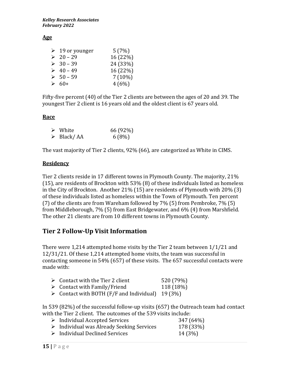#### **Age**

| $\geq 19$ or younger | 5(7%)     |
|----------------------|-----------|
| $\geq 20 - 29$       | 16 (22%)  |
| $\geq 30 - 39$       | 24 (33%)  |
| $\geq 40 - 49$       | 16 (22%)  |
| $> 50 - 59$          | $7(10\%)$ |
| $\geq 60+$           | 4(6%)     |

Fifty-five percent (40) of the Tier 2 clients are between the ages of 20 and 39. The youngest Tier 2 client is 16 years old and the oldest client is 67 years old.

#### **Race**

| $\triangleright$ White    | 66 (92%) |
|---------------------------|----------|
| $\triangleright$ Black/AA | 6(8%)    |

The vast majority of Tier 2 clients, 92% (66), are categorized as White in CIMS.

#### **Residency**

Tier 2 clients reside in 17 different towns in Plymouth County. The majority, 21% (15), are residents of Brockton with 53% (8) of these individuals listed as homeless in the City of Brockton. Another 21% (15) are residents of Plymouth with 20% (3) of these individuals listed as homeless within the Town of Plymouth. Ten percent (7) of the clients are from Wareham followed by 7% (5) from Pembroke, 7% (5) from Middleborough, 7% (5) from East Bridgewater, and 6% (4) from Marshfield. The other 21 clients are from 10 different towns in Plymouth County.

## **Tier 2 Follow-Up Visit Information**

There were 1,214 attempted home visits by the Tier 2 team between 1/1/21 and 12/31/21. Of these 1,214 attempted home visits, the team was successful in contacting someone in 54% (657) of these visits. The 657 successful contacts were made with:

| $\triangleright$ Contact with the Tier 2 client | 520 (79%) |
|-------------------------------------------------|-----------|
| $\triangleright$ Contact with Family/Friend     | 118 (18%) |
|                                                 |           |

 $\triangleright$  Contact with BOTH (F/F and Individual) 19 (3%)

In 539 (82%) of the successful follow-up visits (657) the Outreach team had contact with the Tier 2 client. The outcomes of the 539 visits include:

| $\triangleright$ Individual Accepted Services            | 347 (64%) |
|----------------------------------------------------------|-----------|
| $\triangleright$ Individual was Already Seeking Services | 178 (33%) |
| $\triangleright$ Individual Declined Services            | 14 (3%)   |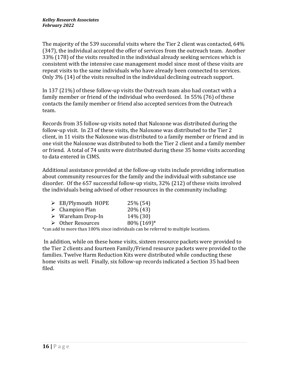The majority of the 539 successful visits where the Tier 2 client was contacted, 64% (347), the individual accepted the offer of services from the outreach team. Another 33% (178) of the visits resulted in the individual already seeking services which is consistent with the intensive case management model since most of these visits are repeat visits to the same individuals who have already been connected to services. Only 3% (14) of the visits resulted in the individual declining outreach support.

In 137 (21%) of these follow-up visits the Outreach team also had contact with a family member or friend of the individual who overdosed. In 55% (76) of these contacts the family member or friend also accepted services from the Outreach team.

Records from 35 follow-up visits noted that Naloxone was distributed during the follow-up visit. In 23 of these visits, the Naloxone was distributed to the Tier 2 client, in 11 visits the Naloxone was distributed to a family member or friend and in one visit the Naloxone was distributed to both the Tier 2 client and a family member or friend. A total of 74 units were distributed during these 35 home visits according to data entered in CIMS.

Additional assistance provided at the follow-up visits include providing information about community resources for the family and the individual with substance use disorder. Of the 657 successful follow-up visits, 32% (212) of these visits involved the individuals being advised of other resources in the community including:

| $\triangleright$ EB/Plymouth HOPE | 25% (54)   |
|-----------------------------------|------------|
|                                   |            |
| $\triangleright$ Champion Plan    | 20% (43)   |
| $\triangleright$ Wareham Drop-In  | 14% (30)   |
| $\triangleright$ Other Resources  | 80% (169)* |

\*can add to more than 100% since individuals can be referred to multiple locations.

In addition, while on these home visits, sixteen resource packets were provided to the Tier 2 clients and fourteen Family/Friend resource packets were provided to the families. Twelve Harm Reduction Kits were distributed while conducting these home visits as well. Finally, six follow-up records indicated a Section 35 had been filed.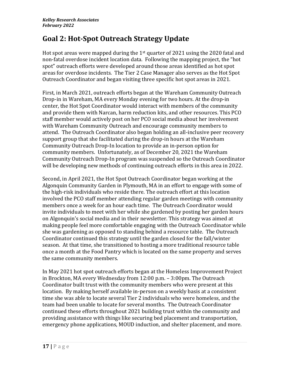# **Goal 2: Hot-Spot Outreach Strategy Update**

Hot spot areas were mapped during the  $1<sup>st</sup>$  quarter of 2021 using the 2020 fatal and non-fatal overdose incident location data. Following the mapping project, the "hot spot" outreach efforts were developed around those areas identified as hot spot areas for overdose incidents. The Tier 2 Case Manager also serves as the Hot Spot Outreach Coordinator and began visiting three specific hot spot areas in 2021.

First, in March 2021, outreach efforts began at the Wareham Community Outreach Drop-in in Wareham, MA every Monday evening for two hours. At the drop-in center, the Hot Spot Coordinator would interact with members of the community and provide them with Narcan, harm reduction kits, and other resources. This PCO staff member would actively post on her PCO social media about her involvement with Wareham Community Outreach and encourage community members to attend. The Outreach Coordinator also began holding an all-inclusive peer recovery support group that she facilitated during the drop-in hours at the Wareham Community Outreach Drop-In location to provide an in-person option for community members. Unfortunately, as of December 20, 2021 the Wareham Community Outreach Drop-In program was suspended so the Outreach Coordinator will be developing new methods of continuing outreach efforts in this area in 2022.

Second, in April 2021, the Hot Spot Outreach Coordinator began working at the Algonquin Community Garden in Plymouth, MA in an effort to engage with some of the high-risk individuals who reside there. The outreach effort at this location involved the PCO staff member attending regular garden meetings with community members once a week for an hour each time. The Outreach Coordinator would invite individuals to meet with her while she gardened by posting her garden hours on Algonquin's social media and in their newsletter. This strategy was aimed at making people feel more comfortable engaging with the Outreach Coordinator while she was gardening as opposed to standing behind a resource table. The Outreach Coordinator continued this strategy until the garden closed for the fall/winter season. At that time, she transitioned to hosting a more traditional resource table once a month at the Food Pantry which is located on the same property and serves the same community members.

In May 2021 hot spot outreach efforts began at the Homeless Improvement Project in Brockton, MA every Wednesday from 12:00 p.m. – 3:00pm. The Outreach Coordinator built trust with the community members who were present at this location. By making herself available in-person on a weekly basis at a consistent time she was able to locate several Tier 2 individuals who were homeless, and the team had been unable to locate for several months. The Outreach Coordinator continued these efforts throughout 2021 building trust within the community and providing assistance with things like securing bed placement and transportation, emergency phone applications, MOUD induction, and shelter placement, and more.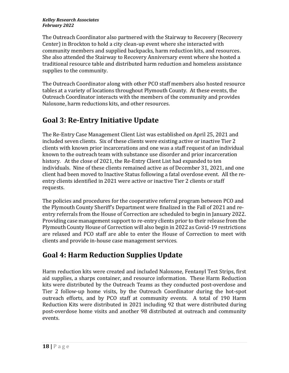The Outreach Coordinator also partnered with the Stairway to Recovery (Recovery Center) in Brockton to hold a city clean-up event where she interacted with community members and supplied backpacks, harm reduction kits, and resources. She also attended the Stairway to Recovery Anniversary event where she hosted a traditional resource table and distributed harm reduction and homeless assistance supplies to the community.

The Outreach Coordinator along with other PCO staff members also hosted resource tables at a variety of locations throughout Plymouth County. At these events, the Outreach Coordinator interacts with the members of the community and provides Naloxone, harm reductions kits, and other resources.

# **Goal 3: Re-Entry Initiative Update**

The Re-Entry Case Management Client List was established on April 25, 2021 and included seven clients. Six of these clients were existing active or inactive Tier 2 clients with known prior incarcerations and one was a staff request of an individual known to the outreach team with substance use disorder and prior incarceration history. At the close of 2021, the Re-Entry Client List had expanded to ten individuals. Nine of these clients remained active as of December 31, 2021, and one client had been moved to Inactive Status following a fatal overdose event. All the reentry clients identified in 2021 were active or inactive Tier 2 clients or staff requests.

The policies and procedures for the cooperative referral program between PCO and the Plymouth County Sheriff's Department were finalized in the Fall of 2021 and reentry referrals from the House of Correction are scheduled to begin in January 2022. Providing case management support to re-entry clients prior to their release from the Plymouth County House of Correction will also begin in 2022 as Covid-19 restrictions are relaxed and PCO staff are able to enter the House of Correction to meet with clients and provide in-house case management services.

# **Goal 4: Harm Reduction Supplies Update**

Harm reduction kits were created and included Naloxone, Fentanyl Test Strips, first aid supplies, a sharps container, and resource information. These Harm Reduction kits were distributed by the Outreach Teams as they conducted post-overdose and Tier 2 follow-up home visits, by the Outreach Coordinator during the hot-spot outreach efforts, and by PCO staff at community events. A total of 190 Harm Reduction Kits were distributed in 2021 including 92 that were distributed during post-overdose home visits and another 98 distributed at outreach and community events.